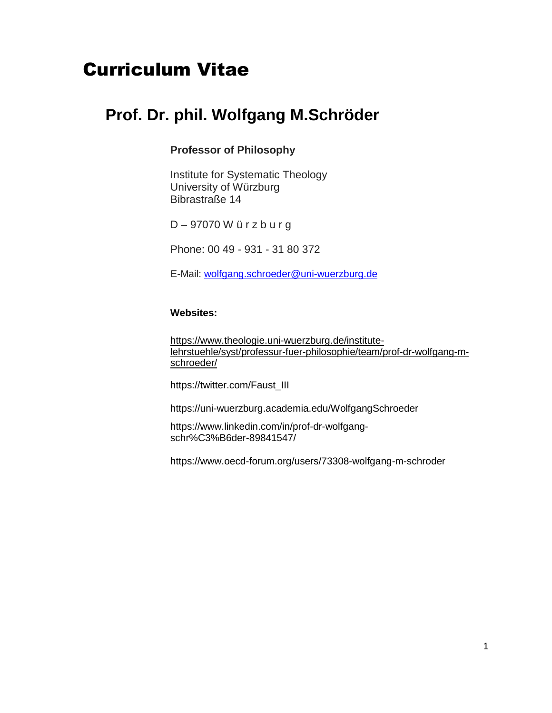# Curriculum Vitae

## **Prof. Dr. phil. Wolfgang M.Schröder**

#### **Professor of Philosophy**

Institute for Systematic Theology University of Würzburg Bibrastraße 14

D – 97070 W ü r z b u r g

Phone: 00 49 - 931 - 31 80 372

E-Mail: [wolfgang.schroeder@uni-wuerzburg.de](mailto:wolfgang.schroeder@uni-wuerzburg.de)

#### **Websites:**

[https://www.theologie.uni-wuerzburg.de/institute](https://www.theologie.uni-wuerzburg.de/institute-lehrstuehle/syst/professur-fuer-philosophie/team/prof-dr-wolfgang-m-schroeder/)[lehrstuehle/syst/professur-fuer-philosophie/team/prof-dr-wolfgang-m](https://www.theologie.uni-wuerzburg.de/institute-lehrstuehle/syst/professur-fuer-philosophie/team/prof-dr-wolfgang-m-schroeder/)[schroeder/](https://www.theologie.uni-wuerzburg.de/institute-lehrstuehle/syst/professur-fuer-philosophie/team/prof-dr-wolfgang-m-schroeder/)

[https://twitter.com/Faust\\_III](https://twitter.com/Faust_III)

<https://uni-wuerzburg.academia.edu/WolfgangSchroeder>

[https://www.linkedin.com/in/prof-dr-wolfgang](https://www.linkedin.com/in/prof-dr-wolfgang-schr%C3%B6der-89841547/)[schr%C3%B6der-89841547/](https://www.linkedin.com/in/prof-dr-wolfgang-schr%C3%B6der-89841547/)

<https://www.oecd-forum.org/users/73308-wolfgang-m-schroder>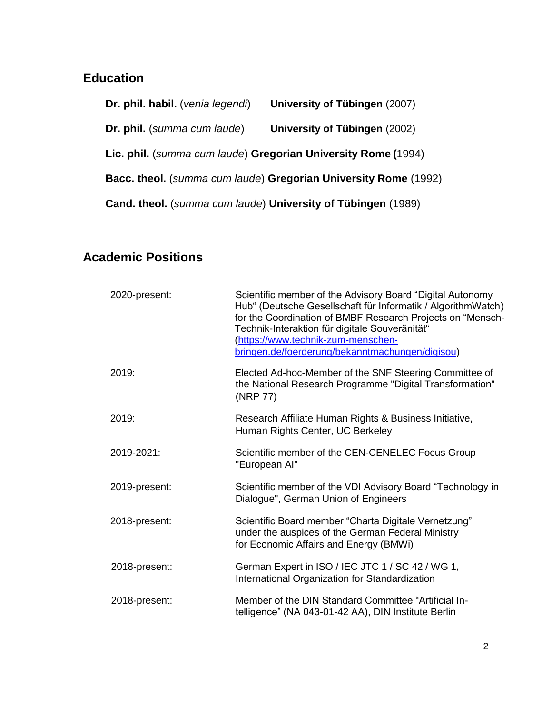### **Education**

**Dr. phil. habil.** (*venia legendi*) **University of Tübingen** (2007) **Dr. phil.** (*summa cum laude*) **University of Tübingen** (2002) **Lic. phil.** (*summa cum laude*) **Gregorian University Rome (**1994) **Bacc. theol.** (*summa cum laude*) **Gregorian University Rome** (1992) **Cand. theol.** (*summa cum laude*) **University of Tübingen** (1989)

## **Academic Positions**

| 2020-present: | Scientific member of the Advisory Board "Digital Autonomy<br>Hub" (Deutsche Gesellschaft für Informatik / AlgorithmWatch)<br>for the Coordination of BMBF Research Projects on "Mensch-<br>Technik-Interaktion für digitale Souveränität"<br>(https://www.technik-zum-menschen-<br>bringen.de/foerderung/bekanntmachungen/digisou) |
|---------------|------------------------------------------------------------------------------------------------------------------------------------------------------------------------------------------------------------------------------------------------------------------------------------------------------------------------------------|
| 2019:         | Elected Ad-hoc-Member of the SNF Steering Committee of<br>the National Research Programme "Digital Transformation"<br>(NRP 77)                                                                                                                                                                                                     |
| 2019:         | Research Affiliate Human Rights & Business Initiative,<br>Human Rights Center, UC Berkeley                                                                                                                                                                                                                                         |
| 2019-2021:    | Scientific member of the CEN-CENELEC Focus Group<br>"European Al"                                                                                                                                                                                                                                                                  |
| 2019-present: | Scientific member of the VDI Advisory Board "Technology in<br>Dialogue", German Union of Engineers                                                                                                                                                                                                                                 |
| 2018-present: | Scientific Board member "Charta Digitale Vernetzung"<br>under the auspices of the German Federal Ministry<br>for Economic Affairs and Energy (BMWi)                                                                                                                                                                                |
| 2018-present: | German Expert in ISO / IEC JTC 1 / SC 42 / WG 1,<br>International Organization for Standardization                                                                                                                                                                                                                                 |
| 2018-present: | Member of the DIN Standard Committee "Artificial In-<br>telligence" (NA 043-01-42 AA), DIN Institute Berlin                                                                                                                                                                                                                        |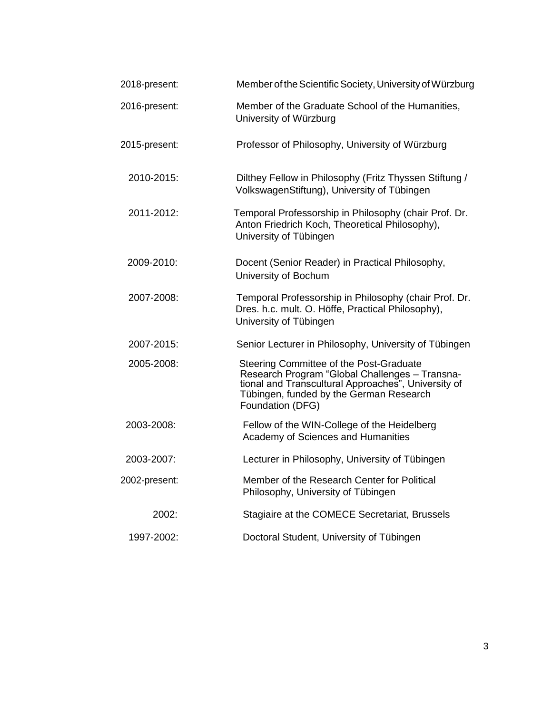| 2018-present: | Member of the Scientific Society, University of Würzburg                                                                                                                                                        |
|---------------|-----------------------------------------------------------------------------------------------------------------------------------------------------------------------------------------------------------------|
| 2016-present: | Member of the Graduate School of the Humanities,<br>University of Würzburg                                                                                                                                      |
| 2015-present: | Professor of Philosophy, University of Würzburg                                                                                                                                                                 |
| 2010-2015:    | Dilthey Fellow in Philosophy (Fritz Thyssen Stiftung /<br>VolkswagenStiftung), University of Tübingen                                                                                                           |
| 2011-2012:    | Temporal Professorship in Philosophy (chair Prof. Dr.<br>Anton Friedrich Koch, Theoretical Philosophy),<br>University of Tübingen                                                                               |
| 2009-2010:    | Docent (Senior Reader) in Practical Philosophy,<br>University of Bochum                                                                                                                                         |
| 2007-2008:    | Temporal Professorship in Philosophy (chair Prof. Dr.<br>Dres. h.c. mult. O. Höffe, Practical Philosophy),<br>University of Tübingen                                                                            |
| 2007-2015:    | Senior Lecturer in Philosophy, University of Tübingen                                                                                                                                                           |
| 2005-2008:    | Steering Committee of the Post-Graduate<br>Research Program "Global Challenges - Transna-<br>tional and Transcultural Approaches", University of<br>Tübingen, funded by the German Research<br>Foundation (DFG) |
| 2003-2008:    | Fellow of the WIN-College of the Heidelberg<br>Academy of Sciences and Humanities                                                                                                                               |
| 2003-2007:    | Lecturer in Philosophy, University of Tübingen                                                                                                                                                                  |
| 2002-present: | Member of the Research Center for Political<br>Philosophy, University of Tübingen                                                                                                                               |
| 2002:         | Stagiaire at the COMECE Secretariat, Brussels                                                                                                                                                                   |
| 1997-2002:    | Doctoral Student, University of Tübingen                                                                                                                                                                        |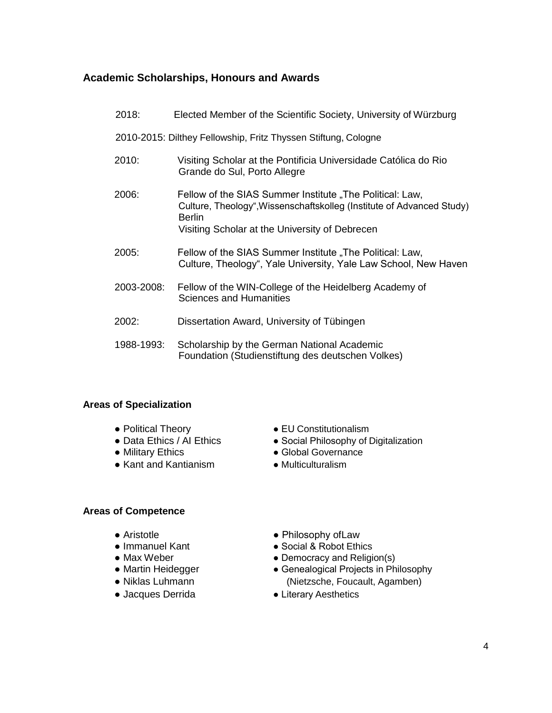#### **Academic Scholarships, Honours and Awards**

| 2018:                                                          | Elected Member of the Scientific Society, University of Würzburg                                                                                                                              |  |
|----------------------------------------------------------------|-----------------------------------------------------------------------------------------------------------------------------------------------------------------------------------------------|--|
| 2010-2015: Dilthey Fellowship, Fritz Thyssen Stiftung, Cologne |                                                                                                                                                                                               |  |
| 2010:                                                          | Visiting Scholar at the Pontificia Universidade Católica do Rio<br>Grande do Sul, Porto Allegre                                                                                               |  |
| 2006:                                                          | Fellow of the SIAS Summer Institute "The Political: Law,<br>Culture, Theology", Wissenschaftskolleg (Institute of Advanced Study)<br>Berlin<br>Visiting Scholar at the University of Debrecen |  |
| 2005:                                                          | Fellow of the SIAS Summer Institute "The Political: Law,<br>Culture, Theology", Yale University, Yale Law School, New Haven                                                                   |  |
| 2003-2008:                                                     | Fellow of the WIN-College of the Heidelberg Academy of<br><b>Sciences and Humanities</b>                                                                                                      |  |
| 2002:                                                          | Dissertation Award, University of Tübingen                                                                                                                                                    |  |
| 1988-1993:                                                     | Scholarship by the German National Academic<br>Foundation (Studienstiftung des deutschen Volkes)                                                                                              |  |

#### **Areas of Specialization**

- 
- 
- 
- Kant and Kantianism Multiculturalism
- Political Theory EU Constitutionalism
- Data Ethics / AI Ethics Social Philosophy of Digitalization
- Military Ethics Global Governance
	-

#### **Areas of Competence**

- 
- 
- 
- 
- 
- 
- Aristotle  **Philosophy of Law**
- Immanuel Kant Social & Robot Ethics
- Max Weber **Democracy and Religion(s)**
- Martin Heidegger • Genealogical Projects in Philosophy ● Niklas Luhmann (Nietzsche, Foucault, Agamben)
- Jacques Derrida Literary Aesthetics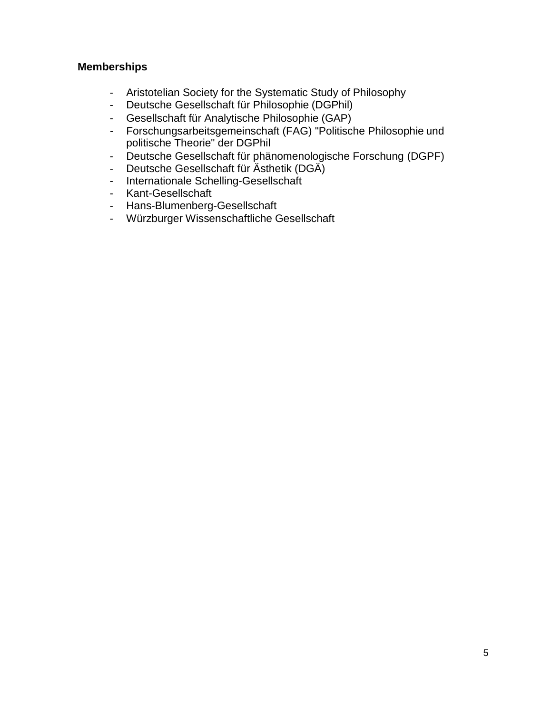#### **Memberships**

- Aristotelian Society for the Systematic Study of Philosophy
- Deutsche Gesellschaft für Philosophie (DGPhil)
- Gesellschaft für Analytische Philosophie (GAP)
- Forschungsarbeitsgemeinschaft (FAG) "Politische Philosophie und politische Theorie" der DGPhil
- Deutsche Gesellschaft für phänomenologische Forschung (DGPF)
- Deutsche Gesellschaft für Ästhetik (DGÄ)
- Internationale Schelling-Gesellschaft
- Kant-Gesellschaft
- Hans-Blumenberg-Gesellschaft
- Würzburger Wissenschaftliche Gesellschaft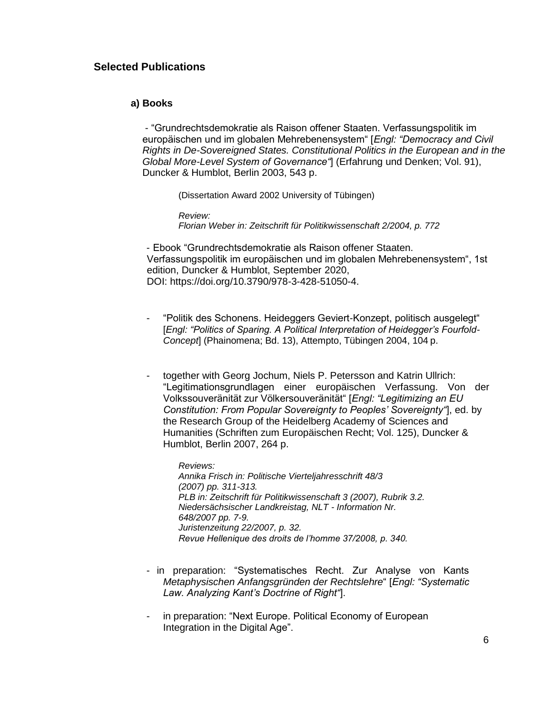#### **Selected Publications**

#### **a) Books**

- "Grundrechtsdemokratie als Raison offener Staaten. Verfassungspolitik im europäischen und im globalen Mehrebenensystem" [*Engl: "Democracy and Civil Rights in De-Sovereigned States. Constitutional Politics in the European and in the Global More-Level System of Governance"*] (Erfahrung und Denken; Vol. 91), Duncker & Humblot, Berlin 2003, 543 p.

(Dissertation Award 2002 University of Tübingen)

*Review: Florian Weber in: Zeitschrift für Politikwissenschaft 2/2004, p. 772*

- Ebook "Grundrechtsdemokratie als Raison offener Staaten. Verfassungspolitik im europäischen und im globalen Mehrebenensystem", 1st edition, Duncker & Humblot, September 2020, DOI: https://doi.org/10.3790/978-3-428-51050-4.

- "Politik des Schonens. Heideggers Geviert-Konzept, politisch ausgelegt" [*Engl: "Politics of Sparing. A Political Interpretation of Heidegger's Fourfold-Concept*] (Phainomena; Bd. 13), Attempto, Tübingen 2004, 104 p.
- together with Georg Jochum, Niels P. Petersson and Katrin Ullrich: "Legitimationsgrundlagen einer europäischen Verfassung. Von der Volkssouveränität zur Völkersouveränität" [*Engl: "Legitimizing an EU Constitution: From Popular Sovereignty to Peoples' Sovereignty"*], ed. by the Research Group of the Heidelberg Academy of Sciences and Humanities (Schriften zum Europäischen Recht; Vol. 125), Duncker & Humblot, Berlin 2007, 264 p.

*Reviews: Annika Frisch in: Politische Vierteljahresschrift 48/3 (2007) pp. 311-313. PLB in: Zeitschrift für Politikwissenschaft 3 (2007), Rubrik 3.2. Niedersächsischer Landkreistag, NLT - Information Nr. 648/2007 pp. 7-9. Juristenzeitung 22/2007, p. 32. Revue Hellenique des droits de l'homme 37/2008, p. 340.*

- in preparation: "Systematisches Recht. Zur Analyse von Kants *Metaphysischen Anfangsgründen der Rechtslehre*" [*Engl: "Systematic Law. Analyzing Kant's Doctrine of Right"*].
- in preparation: "Next Europe. Political Economy of European Integration in the Digital Age".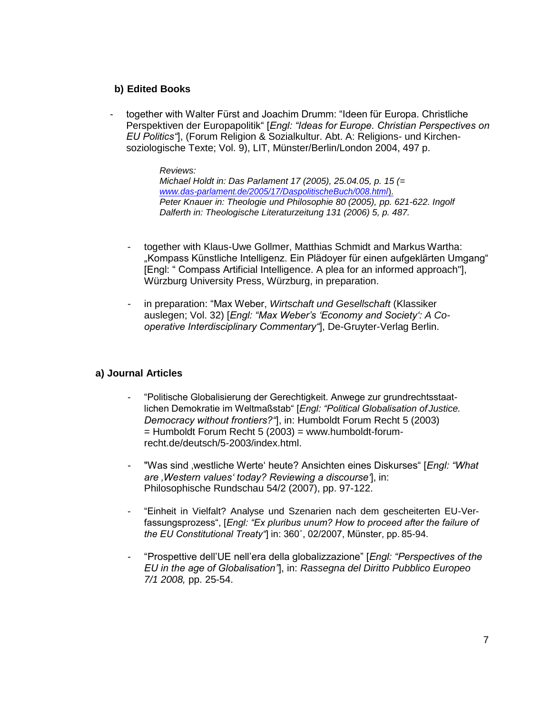#### **b) Edited Books**

- together with Walter Fürst and Joachim Drumm: "Ideen für Europa. Christliche Perspektiven der Europapolitik" [*Engl: "Ideas for Europe. Christian Perspectives on EU Politics"*], (Forum Religion & Sozialkultur. Abt. A: Religions- und Kirchensoziologische Texte; Vol. 9), LIT, Münster/Berlin/London 2004, 497 p.

*Reviews:*

*Michael Holdt in: Das Parlament 17 (2005), 25.04.05, p. 15 (= [www.das-parlament.de/2005/17/DaspolitischeBuch/008.html](http://www.das-parlament.de/2005/17/DaspolitischeBuch/008.html))*). *Peter Knauer in: Theologie und Philosophie 80 (2005), pp. 621-622. Ingolf Dalferth in: Theologische Literaturzeitung 131 (2006) 5, p. 487.*

- together with Klaus-Uwe Gollmer, Matthias Schmidt and Markus Wartha: "Kompass Künstliche Intelligenz. Ein Plädoyer für einen aufgeklärten Umgang" [Engl: " Compass Artificial Intelligence. A plea for an informed approach"], Würzburg University Press, Würzburg, in preparation.
- in preparation: "Max Weber, *Wirtschaft und Gesellschaft* (Klassiker auslegen; Vol. 32) [*Engl: "Max Weber's 'Economy and Society': A Cooperative Interdisciplinary Commentary"*], De-Gruyter-Verlag Berlin.

#### **a) Journal Articles**

- "Politische Globalisierung der Gerechtigkeit. Anwege zur grundrechtsstaatlichen Demokratie im Weltmaßstab" [*Engl: "Political Globalisation of Justice. Democracy without frontiers?"*], in: Humboldt Forum Recht 5 (2003)  $=$  Humboldt Forum Recht 5 (2003) = [www.humboldt-forum](http://www.humboldt-forum-recht.de/deutsch/5-2003/index.html)[recht.de/deutsch/5-2003/index.html.](http://www.humboldt-forum-recht.de/deutsch/5-2003/index.html)
- "Was sind 'westliche Werte' heute? Ansichten eines Diskurses" [*Engl: "What are 'Western values' today? Reviewing a discourse'*], in: Philosophische Rundschau 54/2 (2007), pp. 97-122.
- "Einheit in Vielfalt? Analyse und Szenarien nach dem gescheiterten EU-Verfassungsprozess", [*Engl: "Ex pluribus unum? How to proceed after the failure of the EU Constitutional Treaty"*] in: 360˚, 02/2007, Münster, pp. 85-94.
- "Prospettive dell'UE nell'era della globalizzazione" [*Engl: "Perspectives of the EU in the age of Globalisation"*], in: *Rassegna del Diritto Pubblico Europeo 7/1 2008,* pp. 25-54.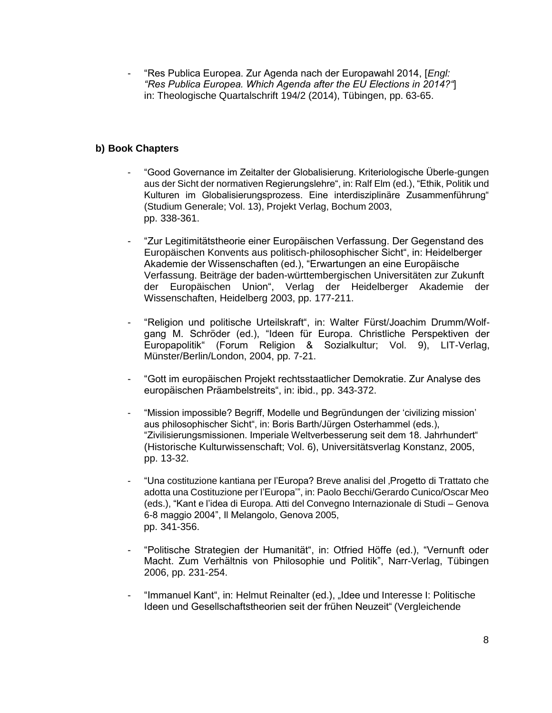- "Res Publica Europea. Zur Agenda nach der Europawahl 2014, [*Engl: "Res Publica Europea. Which Agenda after the EU Elections in 2014?"*] in: Theologische Quartalschrift 194/2 (2014), Tübingen, pp. 63-65.

#### **b) Book Chapters**

- "Good Governance im Zeitalter der Globalisierung. Kriteriologische Überle-gungen aus der Sicht der normativen Regierungslehre", in: Ralf Elm (ed.), "Ethik, Politik und Kulturen im Globalisierungsprozess. Eine interdisziplinäre Zusammenführung" (Studium Generale; Vol. 13), Projekt Verlag, Bochum 2003, pp. 338-361.
- "Zur Legitimitätstheorie einer Europäischen Verfassung. Der Gegenstand des Europäischen Konvents aus politisch-philosophischer Sicht", in: Heidelberger Akademie der Wissenschaften (ed.), "Erwartungen an eine Europäische Verfassung. Beiträge der baden-württembergischen Universitäten zur Zukunft der Europäischen Union", Verlag der Heidelberger Akademie der Wissenschaften, Heidelberg 2003, pp. 177-211.
- "Religion und politische Urteilskraft", in: Walter Fürst/Joachim Drumm/Wolfgang M. Schröder (ed.), "Ideen für Europa. Christliche Perspektiven der Europapolitik" (Forum Religion & Sozialkultur; Vol. 9), LIT-Verlag, Münster/Berlin/London, 2004, pp. 7-21.
- "Gott im europäischen Projekt rechtsstaatlicher Demokratie. Zur Analyse des europäischen Präambelstreits", in: ibid., pp. 343-372.
- "Mission impossible? Begriff, Modelle und Begründungen der 'civilizing mission' aus philosophischer Sicht", in: Boris Barth/Jürgen Osterhammel (eds.), "Zivilisierungsmissionen. Imperiale Weltverbesserung seit dem 18. Jahrhundert" (Historische Kulturwissenschaft; Vol. 6), Universitätsverlag Konstanz, 2005, pp. 13-32.
- "Una costituzione kantiana per l'Europa? Breve analisi del 'Progetto di Trattato che adotta una Costituzione per l'Europa'", in: Paolo Becchi/Gerardo Cunico/Oscar Meo (eds.), "Kant e l'idea di Europa. Atti del Convegno Internazionale di Studi – Genova 6-8 maggio 2004", Il Melangolo, Genova 2005, pp. 341-356.
- "Politische Strategien der Humanität", in: Otfried Höffe (ed.), "Vernunft oder Macht. Zum Verhältnis von Philosophie und Politik", Narr-Verlag, Tübingen 2006, pp. 231-254.
- "Immanuel Kant", in: Helmut Reinalter (ed.), "Idee und Interesse I: Politische Ideen und Gesellschaftstheorien seit der frühen Neuzeit" (Vergleichende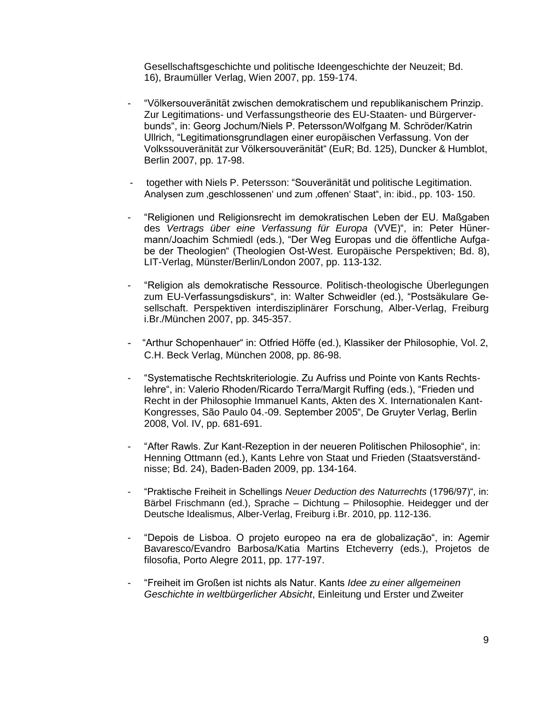Gesellschaftsgeschichte und politische Ideengeschichte der Neuzeit; Bd. 16), Braumüller Verlag, Wien 2007, pp. 159-174.

- "Völkersouveränität zwischen demokratischem und republikanischem Prinzip. Zur Legitimations- und Verfassungstheorie des EU-Staaten- und Bürgerverbunds", in: Georg Jochum/Niels P. Petersson/Wolfgang M. Schröder/Katrin Ullrich, "Legitimationsgrundlagen einer europäischen Verfassung. Von der Volkssouveränität zur Völkersouveränität" (EuR; Bd. 125), Duncker & Humblot, Berlin 2007, pp. 17-98.
- together with Niels P. Petersson: "Souveränität und politische Legitimation. Analysen zum ,geschlossenen' und zum ,offenen' Staat", in: ibid., pp. 103-150.
- "Religionen und Religionsrecht im demokratischen Leben der EU. Maßgaben des *Vertrags über eine Verfassung für Europa* (VVE)", in: Peter Hünermann/Joachim Schmiedl (eds.), "Der Weg Europas und die öffentliche Aufgabe der Theologien" (Theologien Ost-West. Europäische Perspektiven; Bd. 8), LIT-Verlag, Münster/Berlin/London 2007, pp. 113-132.
- "Religion als demokratische Ressource. Politisch-theologische Überlegungen zum EU-Verfassungsdiskurs", in: Walter Schweidler (ed.), "Postsäkulare Gesellschaft. Perspektiven interdisziplinärer Forschung, Alber-Verlag, Freiburg i.Br./München 2007, pp. 345-357.
- "Arthur Schopenhauer" in: Otfried Höffe (ed.), Klassiker der Philosophie, Vol. 2, C.H. Beck Verlag, München 2008, pp. 86-98.
- "Systematische Rechtskriteriologie. Zu Aufriss und Pointe von Kants Rechtslehre", in: Valerio Rhoden/Ricardo Terra/Margit Ruffing (eds.), "Frieden und Recht in der Philosophie Immanuel Kants, Akten des X. Internationalen Kant-Kongresses, São Paulo 04.-09. September 2005", De Gruyter Verlag, Berlin 2008, Vol. IV, pp. 681-691.
- "After Rawls. Zur Kant-Rezeption in der neueren Politischen Philosophie". in: Henning Ottmann (ed.), Kants Lehre von Staat und Frieden (Staatsverständnisse; Bd. 24), Baden-Baden 2009, pp. 134-164.
- "Praktische Freiheit in Schellings *Neuer Deduction des Naturrechts* (1796/97)", in: Bärbel Frischmann (ed.), Sprache – Dichtung – Philosophie. Heidegger und der Deutsche Idealismus, Alber-Verlag, Freiburg i.Br. 2010, pp. 112-136.
- "Depois de Lisboa. O projeto europeo na era de globalização", in: Agemir Bavaresco/Evandro Barbosa/Katia Martins Etcheverry (eds.), Projetos de filosofia, Porto Alegre 2011, pp. 177-197.
- "Freiheit im Großen ist nichts als Natur. Kants *Idee zu einer allgemeinen Geschichte in weltbürgerlicher Absicht*, Einleitung und Erster und Zweiter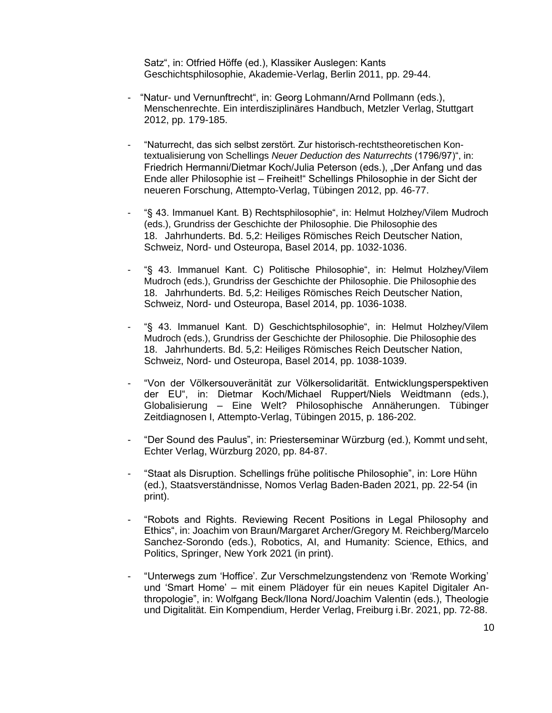Satz", in: Otfried Höffe (ed.), Klassiker Auslegen: Kants Geschichtsphilosophie, Akademie-Verlag, Berlin 2011, pp. 29-44.

- "Natur- und Vernunftrecht", in: Georg Lohmann/Arnd Pollmann (eds.), Menschenrechte. Ein interdisziplinäres Handbuch, Metzler Verlag, Stuttgart 2012, pp. 179-185.
- "Naturrecht, das sich selbst zerstört. Zur historisch-rechtstheoretischen Kontextualisierung von Schellings *Neuer Deduction des Naturrechts* (1796/97)", in: Friedrich Hermanni/Dietmar Koch/Julia Peterson (eds.), "Der Anfang und das Ende aller Philosophie ist – Freiheit!" Schellings Philosophie in der Sicht der neueren Forschung, Attempto-Verlag, Tübingen 2012, pp. 46-77.
- "§ 43. Immanuel Kant. B) Rechtsphilosophie", in: Helmut Holzhey/Vilem Mudroch (eds.), Grundriss der Geschichte der Philosophie. Die Philosophie des 18. Jahrhunderts. Bd. 5,2: Heiliges Römisches Reich Deutscher Nation, Schweiz, Nord- und Osteuropa, Basel 2014, pp. 1032-1036.
- "§ 43. Immanuel Kant. C) Politische Philosophie", in: Helmut Holzhey/Vilem Mudroch (eds.), Grundriss der Geschichte der Philosophie. Die Philosophie des 18. Jahrhunderts. Bd. 5,2: Heiliges Römisches Reich Deutscher Nation, Schweiz, Nord- und Osteuropa, Basel 2014, pp. 1036-1038.
- "§ 43. Immanuel Kant. D) Geschichtsphilosophie", in: Helmut Holzhey/Vilem Mudroch (eds.), Grundriss der Geschichte der Philosophie. Die Philosophie des 18. Jahrhunderts. Bd. 5,2: Heiliges Römisches Reich Deutscher Nation, Schweiz, Nord- und Osteuropa, Basel 2014, pp. 1038-1039.
- "Von der Völkersouveränität zur Völkersolidarität. Entwicklungsperspektiven der EU", in: Dietmar Koch/Michael Ruppert/Niels Weidtmann (eds.), Globalisierung – Eine Welt? Philosophische Annäherungen. Tübinger Zeitdiagnosen I, Attempto-Verlag, Tübingen 2015, p. 186-202.
- "Der Sound des Paulus", in: Priesterseminar Würzburg (ed.), Kommt undseht, Echter Verlag, Würzburg 2020, pp. 84-87.
- "Staat als Disruption. Schellings frühe politische Philosophie", in: Lore Hühn (ed.), Staatsverständnisse, Nomos Verlag Baden-Baden 2021, pp. 22-54 (in print).
- "Robots and Rights. Reviewing Recent Positions in Legal Philosophy and Ethics", in: Joachim von Braun/Margaret Archer/Gregory M. Reichberg/Marcelo Sanchez-Sorondo (eds.), Robotics, AI, and Humanity: Science, Ethics, and Politics, Springer, New York 2021 (in print).
- "Unterwegs zum 'Hoffice'. Zur Verschmelzungstendenz von 'Remote Working' und 'Smart Home' – mit einem Plädoyer für ein neues Kapitel Digitaler Anthropologie", in: Wolfgang Beck/Ilona Nord/Joachim Valentin (eds.), Theologie und Digitalität. Ein Kompendium, Herder Verlag, Freiburg i.Br. 2021, pp. 72-88.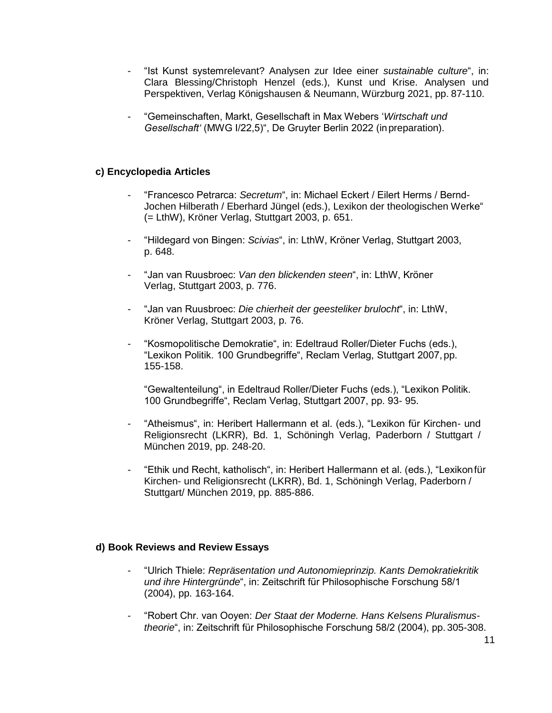- "Ist Kunst systemrelevant? Analysen zur Idee einer *sustainable culture*", in: Clara Blessing/Christoph Henzel (eds.), Kunst und Krise. Analysen und Perspektiven, Verlag Königshausen & Neumann, Würzburg 2021, pp. 87-110.
- "Gemeinschaften, Markt, Gesellschaft in Max Webers '*Wirtschaft und Gesellschaft'* (MWG I/22,5)", De Gruyter Berlin 2022 (inpreparation).

#### **c) Encyclopedia Articles**

- "Francesco Petrarca: *Secretum*", in: Michael Eckert / Eilert Herms / Bernd-Jochen Hilberath / Eberhard Jüngel (eds.), Lexikon der theologischen Werke" (= LthW), Kröner Verlag, Stuttgart 2003, p. 651.
- "Hildegard von Bingen: *Scivias*", in: LthW, Kröner Verlag, Stuttgart 2003, p. 648.
- "Jan van Ruusbroec: *Van den blickenden steen*", in: LthW, Kröner Verlag, Stuttgart 2003, p. 776.
- "Jan van Ruusbroec: *Die chierheit der geesteliker brulocht*", in: LthW, Kröner Verlag, Stuttgart 2003, p. 76.
- "Kosmopolitische Demokratie", in: Edeltraud Roller/Dieter Fuchs (eds.), "Lexikon Politik. 100 Grundbegriffe", Reclam Verlag, Stuttgart 2007, pp. 155-158.

"Gewaltenteilung", in Edeltraud Roller/Dieter Fuchs (eds.), "Lexikon Politik. 100 Grundbegriffe", Reclam Verlag, Stuttgart 2007, pp. 93- 95.

- "Atheismus", in: Heribert Hallermann et al. (eds.), "Lexikon für Kirchen- und Religionsrecht (LKRR), Bd. 1, Schöningh Verlag, Paderborn / Stuttgart / München 2019, pp. 248-20.
- "Ethik und Recht, katholisch", in: Heribert Hallermann et al. (eds.), "Lexikonfür Kirchen- und Religionsrecht (LKRR), Bd. 1, Schöningh Verlag, Paderborn / Stuttgart/ München 2019, pp. 885-886.

#### **d) Book Reviews and Review Essays**

- "Ulrich Thiele: *Repräsentation und Autonomieprinzip. Kants Demokratiekritik und ihre Hintergründe*", in: Zeitschrift für Philosophische Forschung 58/1 (2004), pp. 163-164.
- "Robert Chr. van Ooyen: *Der Staat der Moderne. Hans Kelsens Pluralismustheorie*", in: Zeitschrift für Philosophische Forschung 58/2 (2004), pp. 305-308.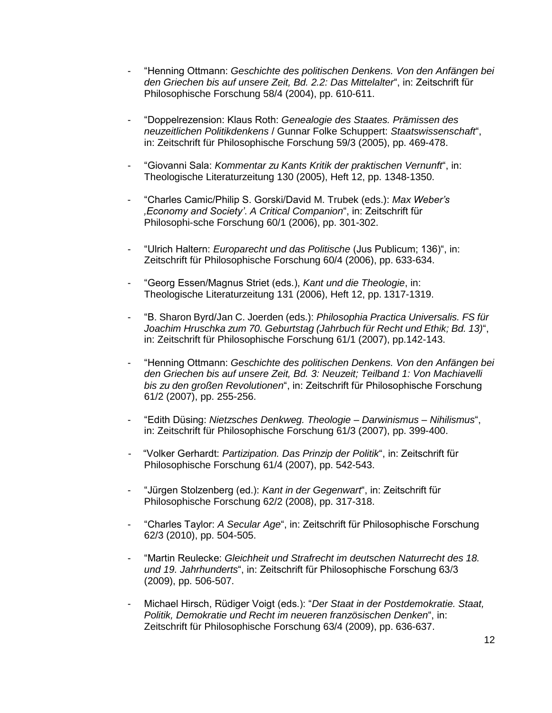- "Henning Ottmann: *Geschichte des politischen Denkens. Von den Anfängen bei den Griechen bis auf unsere Zeit, Bd. 2.2: Das Mittelalter*", in: Zeitschrift für Philosophische Forschung 58/4 (2004), pp. 610-611.
- "Doppelrezension: Klaus Roth: *Genealogie des Staates. Prämissen des neuzeitlichen Politikdenkens* / Gunnar Folke Schuppert: *Staatswissenschaft*", in: Zeitschrift für Philosophische Forschung 59/3 (2005), pp. 469-478.
- "Giovanni Sala: *Kommentar zu Kants Kritik der praktischen Vernunft*", in: Theologische Literaturzeitung 130 (2005), Heft 12, pp. 1348-1350.
- "Charles Camic/Philip S. Gorski/David M. Trubek (eds.): *Max Weber's 'Economy and Society'*. *A Critical Companion*", in: Zeitschrift für Philosophi-sche Forschung 60/1 (2006), pp. 301-302.
- "Ulrich Haltern: *Europarecht und das Politische* (Jus Publicum; 136)", in: Zeitschrift für Philosophische Forschung 60/4 (2006), pp. 633-634.
- "Georg Essen/Magnus Striet (eds.), *Kant und die Theologie*, in: Theologische Literaturzeitung 131 (2006), Heft 12, pp. 1317-1319.
- "B. Sharon Byrd/Jan C. Joerden (eds.): *Philosophia Practica Universalis. FS für Joachim Hruschka zum 70. Geburtstag (Jahrbuch für Recht und Ethik; Bd. 13)*", in: Zeitschrift für Philosophische Forschung 61/1 (2007), pp.142-143.
- "Henning Ottmann: *Geschichte des politischen Denkens. Von den Anfängen bei den Griechen bis auf unsere Zeit, Bd. 3: Neuzeit; Teilband 1: Von Machiavelli bis zu den großen Revolutionen*", in: Zeitschrift für Philosophische Forschung 61/2 (2007), pp. 255-256.
- "Edith Düsing: *Nietzsches Denkweg. Theologie – Darwinismus – Nihilismus*", in: Zeitschrift für Philosophische Forschung 61/3 (2007), pp. 399-400.
- "Volker Gerhardt: *Partizipation. Das Prinzip der Politik*", in: Zeitschrift für Philosophische Forschung 61/4 (2007), pp. 542-543.
- "Jürgen Stolzenberg (ed.): *Kant in der Gegenwart*", in: Zeitschrift für Philosophische Forschung 62/2 (2008), pp. 317-318.
- "Charles Taylor: *A Secular Age*", in: Zeitschrift für Philosophische Forschung 62/3 (2010), pp. 504-505.
- "Martin Reulecke: *Gleichheit und Strafrecht im deutschen Naturrecht des 18. und 19. Jahrhunderts*", in: Zeitschrift für Philosophische Forschung 63/3 (2009), pp. 506-507.
- Michael Hirsch, Rüdiger Voigt (eds.): "*Der Staat in der Postdemokratie. Staat, Politik, Demokratie und Recht im neueren französischen Denken*", in: Zeitschrift für Philosophische Forschung 63/4 (2009), pp. 636-637.